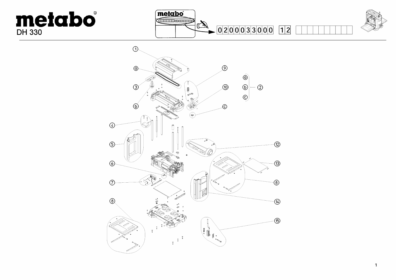

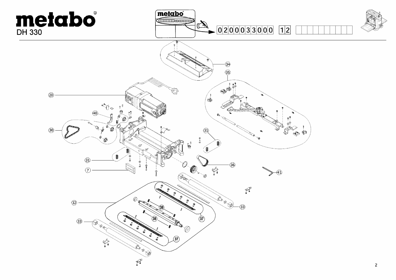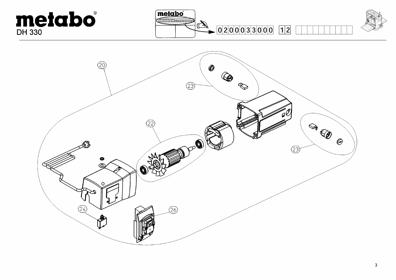



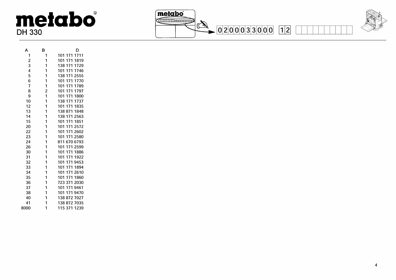

| A    | в              | D                  |
|------|----------------|--------------------|
| 1    | 1              | 101 171 1711       |
| 2    | 1              | 1819<br>101<br>171 |
| 3    | 1              | 1729<br>138<br>171 |
| 4    | 1              | 1746<br>101<br>171 |
| 5    | 1              | 2555<br>138<br>171 |
| 6    | 1              | 101<br>1770<br>171 |
| 7    | 1              | 101<br>1789<br>171 |
| 8    | $\overline{c}$ | 1797<br>101<br>171 |
| 9    | 1              | 101<br>1800<br>171 |
| 10   | 1              | 138<br>1737<br>171 |
| 12   | 1              | 101<br>1835<br>171 |
| 13   | 1              | 138 871<br>1848    |
| 14   | 1              | 138 171<br>2563    |
| 15   | 1              | 101<br>1851<br>171 |
| 20   | 1              | 101<br>2572<br>171 |
| 22   | 1              | 101<br>2602<br>171 |
| 23   | 1              | 2580<br>101<br>171 |
| 24   | 1              | 811<br>670<br>6793 |
| 26   | 1              | 101<br>171<br>2599 |
| 30   | 1              | 101<br>1886<br>171 |
| 31   | 1              | 101<br>1922<br>171 |
| 32   | 1              | 101<br>9453<br>171 |
| 33   | 1              | 101<br>1894<br>171 |
| 34   | 1              | 101<br>2610<br>171 |
| 35   | 1              | 101<br>171 1860    |
| 36   | 1              | 2030<br>723 371    |
| 37   | 1              | 171<br>9461<br>101 |
| 38   | 1              | 101<br>9470<br>171 |
| 40   | 1              | 872 7027<br>138    |
| 41   | 1              | 138 872 7035       |
| 8000 | 1              | 115 371 1239       |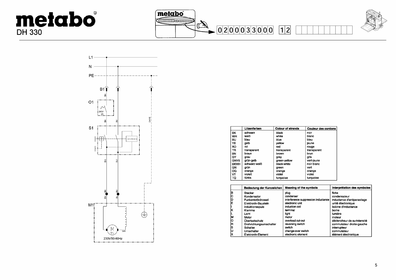



|             | Litzenfarben | <b>Colour of strands</b> | Couleur des cordons |
|-------------|--------------|--------------------------|---------------------|
| BК          | schwarz      | black                    | noir                |
| WH          | weiß         | white                    | blanc               |
| BU          | blau         | blue                     | bleu                |
| YE          | gelb         | vellow                   | iaune               |
| <b>RD</b>   | rot          | red                      | rouge               |
| TR          | transparent  | transparent              | transparent         |
| BN          | braun        | brown                    | brun                |
| GY          | grau         | grey                     | aris                |
| <b>GNYE</b> | arun aelb    | green-yellow             | vert-jaune          |
| <b>BKWH</b> | schwarz-weiß | black-white              | noir-blanc          |
| GN          | arün         | green                    | vert                |
| OG.         | orange       | orange                   | orange              |
| ۷Т          | violett      | violet                   | violet              |
| TQ          | tūrkis       | turquoise                | turquoise           |

|    | Bedeutung der Kurzzeichen | <b>Meaning of the symbols</b>       | Interprétation des symboles |
|----|---------------------------|-------------------------------------|-----------------------------|
| в  | Stecker                   | plug                                | fiche                       |
| ıс | Kondensator               | condenser                           | condensateur                |
|    | Funkentstördrossel        | interference suppression inductance | inductance d'antiparasitage |
| Е  | Elektronik-Baustein       | electronic unit                     | unité électronique          |
|    | Induktionsspule           | induction coil                      | bobine d'inductance         |
| IΚ | Klemme                    | terminal                            | borne                       |
|    | Licht                     | light                               | lumière                     |
| ΙM | Motor                     | motor                               | moteur                      |
| Ю  | Überlastschutz            | overload cut-out                    | déclencheur de surintensité |
| ΙR | Drehrichtungsumschalter   | reversing switch                    | commutateur droite-gauche   |
|    | Schalter                  | switch                              | interrupteur                |
|    | <b>Umschalter</b>         | change-over switch                  | commutateur                 |
|    | Elektronik-Element        | electronic element                  | élément électronique        |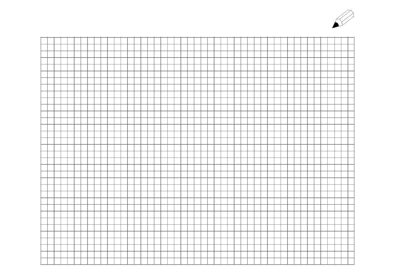

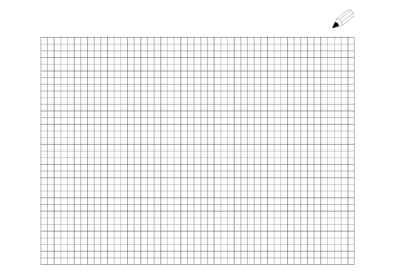